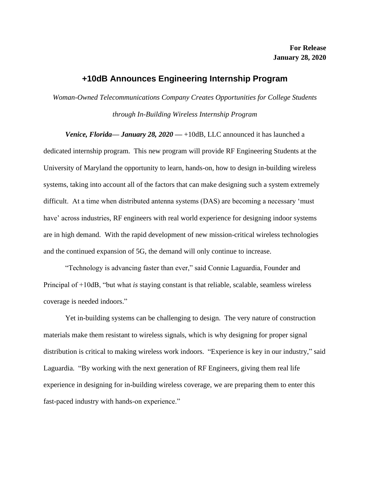## **+10dB Announces Engineering Internship Program**

*Woman-Owned Telecommunications Company Creates Opportunities for College Students through In-Building Wireless Internship Program*

*Venice, Florida— January 28, 2020* — +10dB, LLC announced it has launched a dedicated internship program. This new program will provide RF Engineering Students at the University of Maryland the opportunity to learn, hands-on, how to design in-building wireless systems, taking into account all of the factors that can make designing such a system extremely difficult. At a time when distributed antenna systems (DAS) are becoming a necessary 'must have' across industries, RF engineers with real world experience for designing indoor systems are in high demand. With the rapid development of new mission-critical wireless technologies and the continued expansion of 5G, the demand will only continue to increase.

"Technology is advancing faster than ever," said Connie Laguardia, Founder and Principal of +10dB, "but what *is* staying constant is that reliable, scalable, seamless wireless coverage is needed indoors."

Yet in-building systems can be challenging to design. The very nature of construction materials make them resistant to wireless signals, which is why designing for proper signal distribution is critical to making wireless work indoors. "Experience is key in our industry," said Laguardia. "By working with the next generation of RF Engineers, giving them real life experience in designing for in-building wireless coverage, we are preparing them to enter this fast-paced industry with hands-on experience."